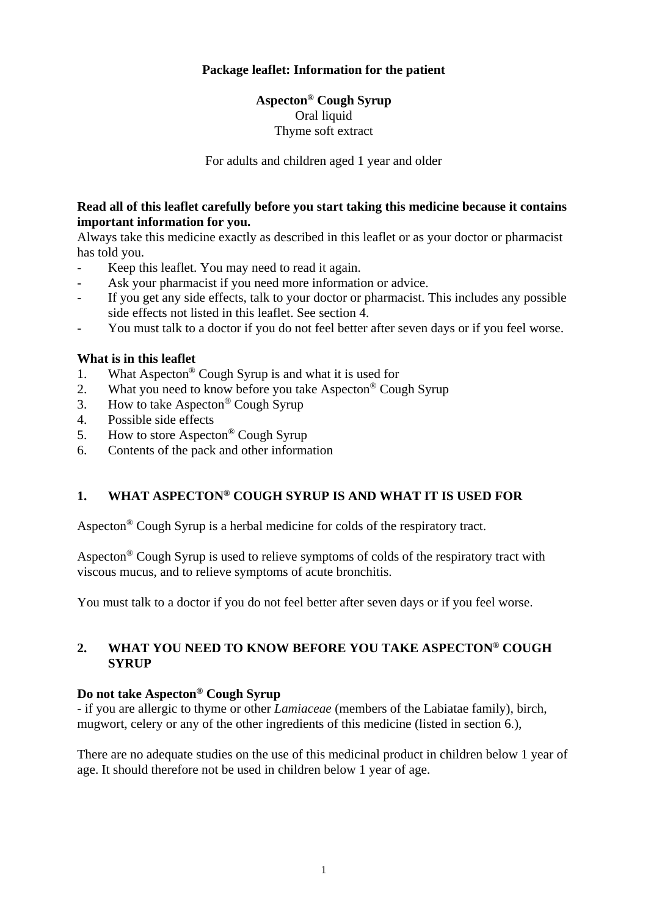### **Package leaflet: Information for the patient**

# **Aspecton® Cough Syrup**  Oral liquid Thyme soft extract

For adults and children aged 1 year and older

### **Read all of this leaflet carefully before you start taking this medicine because it contains important information for you.**

Always take this medicine exactly as described in this leaflet or as your doctor or pharmacist has told you.

- Keep this leaflet. You may need to read it again.
- Ask your pharmacist if you need more information or advice.
- If you get any side effects, talk to your doctor or pharmacist. This includes any possible side effects not listed in this leaflet. See section 4.
- You must talk to a doctor if you do not feel better after seven days or if you feel worse.

### **What is in this leaflet**

- 1. What Aspecton® Cough Syrup is and what it is used for
- 2. What you need to know before you take Aspecton<sup>®</sup> Cough Syrup
- 3. How to take Aspecton® Cough Syrup
- 4. Possible side effects
- 5. How to store Aspecton® Cough Syrup
- 6. Contents of the pack and other information

## **1. WHAT ASPECTON® COUGH SYRUP IS AND WHAT IT IS USED FOR**

Aspecton® Cough Syrup is a herbal medicine for colds of the respiratory tract.

Aspecton<sup>®</sup> Cough Syrup is used to relieve symptoms of colds of the respiratory tract with viscous mucus, and to relieve symptoms of acute bronchitis.

You must talk to a doctor if you do not feel better after seven days or if you feel worse.

### **2. WHAT YOU NEED TO KNOW BEFORE YOU TAKE ASPECTON® COUGH SYRUP**

#### **Do not take Aspecton® Cough Syrup**

- if you are allergic to thyme or other *Lamiaceae* (members of the Labiatae family), birch, mugwort, celery or any of the other ingredients of this medicine (listed in section 6.),

There are no adequate studies on the use of this medicinal product in children below 1 year of age. It should therefore not be used in children below 1 year of age.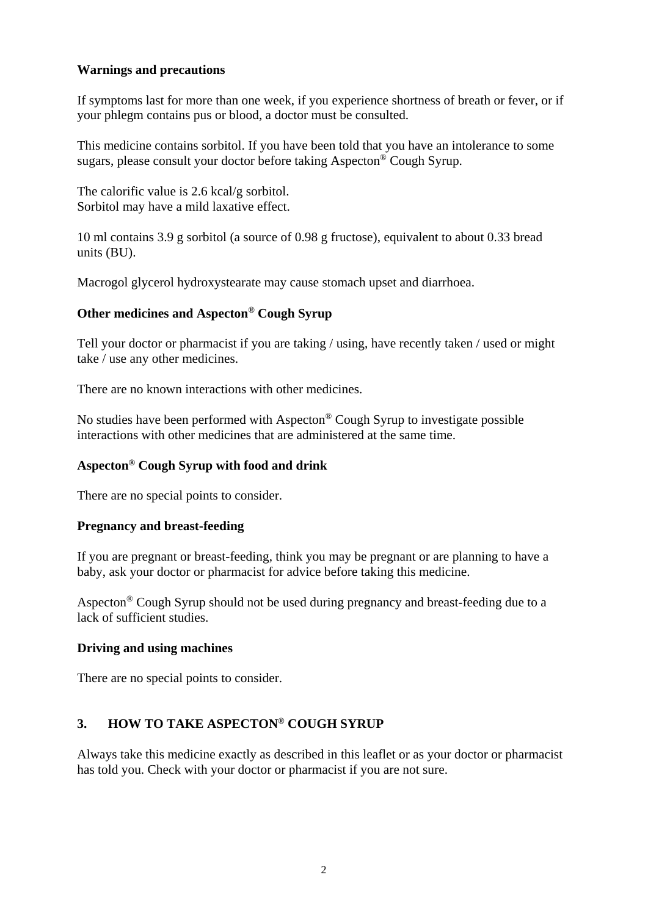### **Warnings and precautions**

If symptoms last for more than one week, if you experience shortness of breath or fever, or if your phlegm contains pus or blood, a doctor must be consulted.

This medicine contains sorbitol. If you have been told that you have an intolerance to some sugars, please consult your doctor before taking Aspecton® Cough Syrup.

The calorific value is 2.6 kcal/g sorbitol. Sorbitol may have a mild laxative effect.

10 ml contains 3.9 g sorbitol (a source of 0.98 g fructose), equivalent to about 0.33 bread units (BU).

Macrogol glycerol hydroxystearate may cause stomach upset and diarrhoea.

### **Other medicines and Aspecton® Cough Syrup**

Tell your doctor or pharmacist if you are taking / using, have recently taken / used or might take / use any other medicines.

There are no known interactions with other medicines.

No studies have been performed with Aspecton® Cough Syrup to investigate possible interactions with other medicines that are administered at the same time.

### **Aspecton® Cough Syrup with food and drink**

There are no special points to consider.

#### **Pregnancy and breast-feeding**

If you are pregnant or breast-feeding, think you may be pregnant or are planning to have a baby, ask your doctor or pharmacist for advice before taking this medicine.

Aspecton® Cough Syrup should not be used during pregnancy and breast-feeding due to a lack of sufficient studies.

#### **Driving and using machines**

There are no special points to consider.

## **3. HOW TO TAKE ASPECTON® COUGH SYRUP**

Always take this medicine exactly as described in this leaflet or as your doctor or pharmacist has told you. Check with your doctor or pharmacist if you are not sure.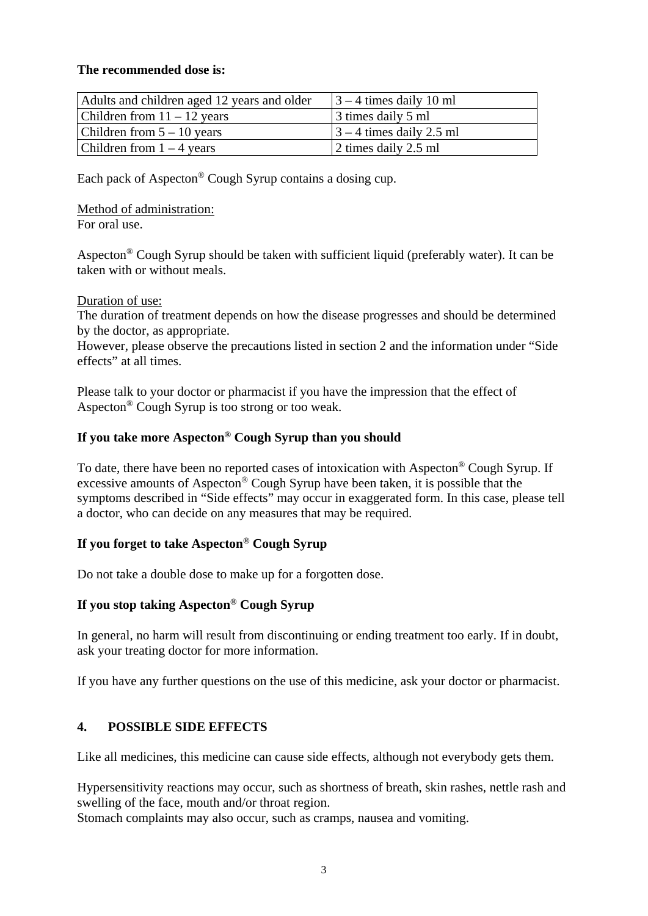#### **The recommended dose is:**

| Adults and children aged 12 years and older | $\left 3 - 4\right $ times daily 10 ml |
|---------------------------------------------|----------------------------------------|
| Children from $11 - 12$ years               | 3 times daily 5 ml                     |
| Children from $5 - 10$ years                | $\vert$ 3 – 4 times daily 2.5 ml       |
| Children from $1 - 4$ years                 | 2 times daily 2.5 ml                   |

Each pack of Aspecton® Cough Syrup contains a dosing cup.

Method of administration:

For oral use.

Aspecton® Cough Syrup should be taken with sufficient liquid (preferably water). It can be taken with or without meals.

Duration of use:

The duration of treatment depends on how the disease progresses and should be determined by the doctor, as appropriate.

However, please observe the precautions listed in section 2 and the information under "Side effects" at all times.

Please talk to your doctor or pharmacist if you have the impression that the effect of Aspecton® Cough Syrup is too strong or too weak.

## **If you take more Aspecton® Cough Syrup than you should**

To date, there have been no reported cases of intoxication with Aspecton® Cough Syrup. If excessive amounts of Aspecton® Cough Syrup have been taken, it is possible that the symptoms described in "Side effects" may occur in exaggerated form. In this case, please tell a doctor, who can decide on any measures that may be required.

# **If you forget to take Aspecton® Cough Syrup**

Do not take a double dose to make up for a forgotten dose.

### **If you stop taking Aspecton® Cough Syrup**

In general, no harm will result from discontinuing or ending treatment too early. If in doubt, ask your treating doctor for more information.

If you have any further questions on the use of this medicine, ask your doctor or pharmacist.

# **4. POSSIBLE SIDE EFFECTS**

Like all medicines, this medicine can cause side effects, although not everybody gets them.

Hypersensitivity reactions may occur, such as shortness of breath, skin rashes, nettle rash and swelling of the face, mouth and/or throat region.

Stomach complaints may also occur, such as cramps, nausea and vomiting.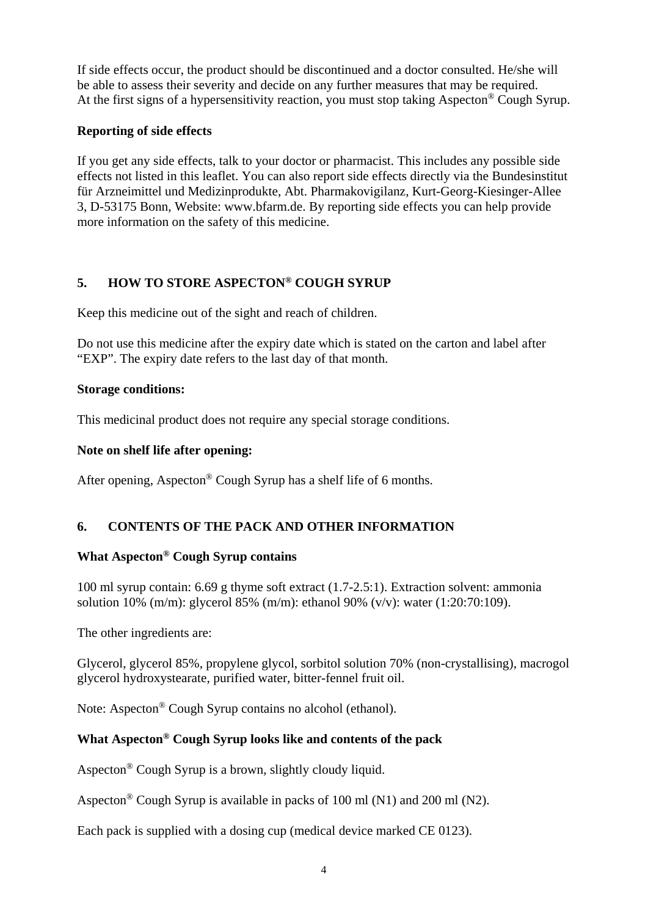If side effects occur, the product should be discontinued and a doctor consulted. He/she will be able to assess their severity and decide on any further measures that may be required. At the first signs of a hypersensitivity reaction, you must stop taking Aspecton<sup>®</sup> Cough Syrup.

## **Reporting of side effects**

If you get any side effects, talk to your doctor or pharmacist. This includes any possible side effects not listed in this leaflet. You can also report side effects directly via the Bundesinstitut für Arzneimittel und Medizinprodukte, Abt. Pharmakovigilanz, Kurt-Georg-Kiesinger-Allee 3, D-53175 Bonn, Website: www.bfarm.de. By reporting side effects you can help provide more information on the safety of this medicine.

# **5. HOW TO STORE ASPECTON® COUGH SYRUP**

Keep this medicine out of the sight and reach of children.

Do not use this medicine after the expiry date which is stated on the carton and label after "EXP". The expiry date refers to the last day of that month.

### **Storage conditions:**

This medicinal product does not require any special storage conditions.

## **Note on shelf life after opening:**

After opening, Aspecton® Cough Syrup has a shelf life of 6 months.

# **6. CONTENTS OF THE PACK AND OTHER INFORMATION**

# **What Aspecton® Cough Syrup contains**

100 ml syrup contain: 6.69 g thyme soft extract (1.7-2.5:1). Extraction solvent: ammonia solution 10% (m/m): glycerol 85% (m/m): ethanol 90% (v/v): water (1:20:70:109).

The other ingredients are:

Glycerol, glycerol 85%, propylene glycol, sorbitol solution 70% (non-crystallising), macrogol glycerol hydroxystearate, purified water, bitter-fennel fruit oil.

Note: Aspecton® Cough Syrup contains no alcohol (ethanol).

# **What Aspecton® Cough Syrup looks like and contents of the pack**

Aspecton® Cough Syrup is a brown, slightly cloudy liquid.

Aspecton<sup>®</sup> Cough Syrup is available in packs of 100 ml (N1) and 200 ml (N2).

Each pack is supplied with a dosing cup (medical device marked CE 0123).